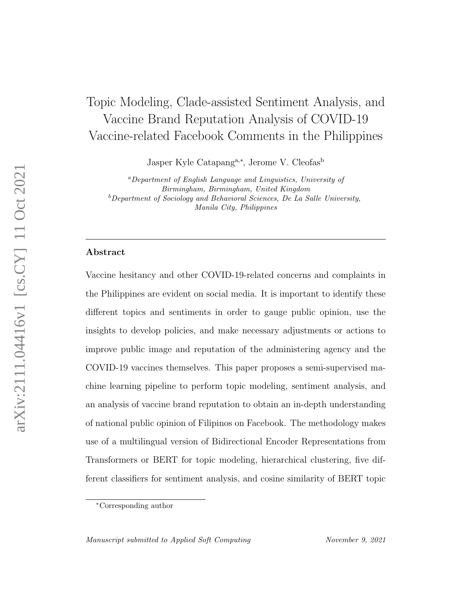# Topic Modeling, Clade-assisted Sentiment Analysis, and Vaccine Brand Reputation Analysis of COVID-19 Vaccine-related Facebook Comments in the Philippines

Jasper Kyle Catapang<sup>a,∗</sup>, Jerome V. Cleofas<sup>b</sup>

<sup>a</sup>Department of English Language and Linguistics, University of Birmingham, Birmingham, United Kingdom  $b$ Department of Sociology and Behavioral Sciences, De La Salle University, Manila City, Philippines

# Abstract

Vaccine hesitancy and other COVID-19-related concerns and complaints in the Philippines are evident on social media. It is important to identify these different topics and sentiments in order to gauge public opinion, use the insights to develop policies, and make necessary adjustments or actions to improve public image and reputation of the administering agency and the COVID-19 vaccines themselves. This paper proposes a semi-supervised machine learning pipeline to perform topic modeling, sentiment analysis, and an analysis of vaccine brand reputation to obtain an in-depth understanding of national public opinion of Filipinos on Facebook. The methodology makes use of a multilingual version of Bidirectional Encoder Representations from Transformers or BERT for topic modeling, hierarchical clustering, five different classifiers for sentiment analysis, and cosine similarity of BERT topic

<sup>∗</sup>Corresponding author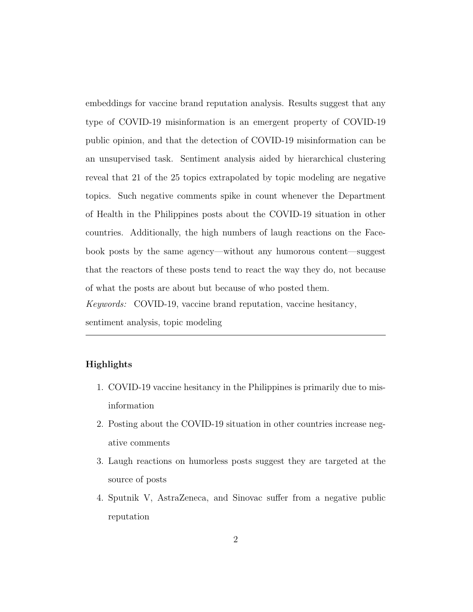embeddings for vaccine brand reputation analysis. Results suggest that any type of COVID-19 misinformation is an emergent property of COVID-19 public opinion, and that the detection of COVID-19 misinformation can be an unsupervised task. Sentiment analysis aided by hierarchical clustering reveal that 21 of the 25 topics extrapolated by topic modeling are negative topics. Such negative comments spike in count whenever the Department of Health in the Philippines posts about the COVID-19 situation in other countries. Additionally, the high numbers of laugh reactions on the Facebook posts by the same agency—without any humorous content—suggest that the reactors of these posts tend to react the way they do, not because of what the posts are about but because of who posted them. Keywords: COVID-19, vaccine brand reputation, vaccine hesitancy,

sentiment analysis, topic modeling

# Highlights

- 1. COVID-19 vaccine hesitancy in the Philippines is primarily due to misinformation
- 2. Posting about the COVID-19 situation in other countries increase negative comments
- 3. Laugh reactions on humorless posts suggest they are targeted at the source of posts
- 4. Sputnik V, AstraZeneca, and Sinovac suffer from a negative public reputation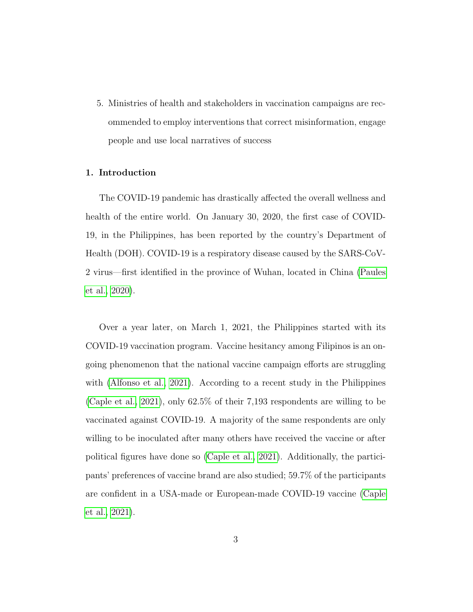5. Ministries of health and stakeholders in vaccination campaigns are recommended to employ interventions that correct misinformation, engage people and use local narratives of success

# 1. Introduction

The COVID-19 pandemic has drastically affected the overall wellness and health of the entire world. On January 30, 2020, the first case of COVID-19, in the Philippines, has been reported by the country's Department of Health (DOH). COVID-19 is a respiratory disease caused by the SARS-CoV-2 virus—first identified in the province of Wuhan, located in China [\(Paules](#page-43-0) [et al., 2020\)](#page-43-0).

Over a year later, on March 1, 2021, the Philippines started with its COVID-19 vaccination program. Vaccine hesitancy among Filipinos is an ongoing phenomenon that the national vaccine campaign efforts are struggling with [\(Alfonso et al., 2021\)](#page-43-1). According to a recent study in the Philippines [\(Caple et al., 2021\)](#page-43-2), only 62.5% of their 7,193 respondents are willing to be vaccinated against COVID-19. A majority of the same respondents are only willing to be inoculated after many others have received the vaccine or after political figures have done so [\(Caple et al., 2021\)](#page-43-2). Additionally, the participants' preferences of vaccine brand are also studied; 59.7% of the participants are confident in a USA-made or European-made COVID-19 vaccine [\(Caple](#page-43-2) [et al., 2021\)](#page-43-2).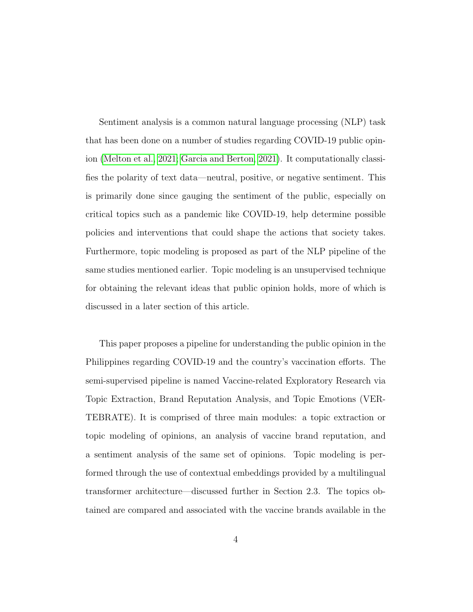Sentiment analysis is a common natural language processing (NLP) task that has been done on a number of studies regarding COVID-19 public opinion [\(Melton et al., 2021;](#page-43-3) [Garcia and Berton, 2021\)](#page-43-4). It computationally classifies the polarity of text data—neutral, positive, or negative sentiment. This is primarily done since gauging the sentiment of the public, especially on critical topics such as a pandemic like COVID-19, help determine possible policies and interventions that could shape the actions that society takes. Furthermore, topic modeling is proposed as part of the NLP pipeline of the same studies mentioned earlier. Topic modeling is an unsupervised technique for obtaining the relevant ideas that public opinion holds, more of which is discussed in a later section of this article.

This paper proposes a pipeline for understanding the public opinion in the Philippines regarding COVID-19 and the country's vaccination efforts. The semi-supervised pipeline is named Vaccine-related Exploratory Research via Topic Extraction, Brand Reputation Analysis, and Topic Emotions (VER-TEBRATE). It is comprised of three main modules: a topic extraction or topic modeling of opinions, an analysis of vaccine brand reputation, and a sentiment analysis of the same set of opinions. Topic modeling is performed through the use of contextual embeddings provided by a multilingual transformer architecture—discussed further in Section 2.3. The topics obtained are compared and associated with the vaccine brands available in the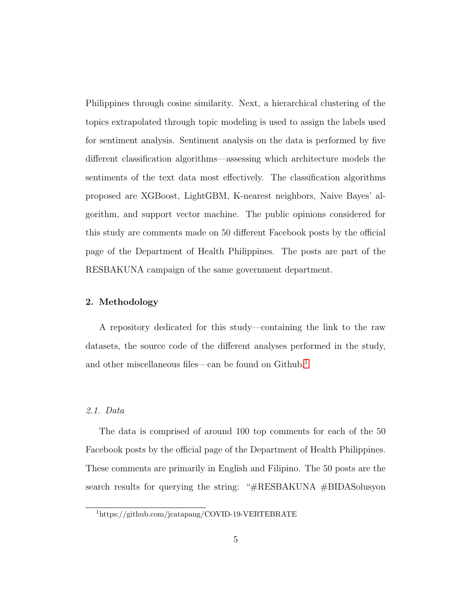Philippines through cosine similarity. Next, a hierarchical clustering of the topics extrapolated through topic modeling is used to assign the labels used for sentiment analysis. Sentiment analysis on the data is performed by five different classification algorithms—assessing which architecture models the sentiments of the text data most effectively. The classification algorithms proposed are XGBoost, LightGBM, K-nearest neighbors, Naive Bayes' algorithm, and support vector machine. The public opinions considered for this study are comments made on 50 different Facebook posts by the official page of the Department of Health Philippines. The posts are part of the RESBAKUNA campaign of the same government department.

#### 2. Methodology

A repository dedicated for this study—containing the link to the raw datasets, the source code of the different analyses performed in the study, and other miscellaneous files—can be found on Github.<sup>[1](#page-4-0)</sup>

# 2.1. Data

The data is comprised of around 100 top comments for each of the 50 Facebook posts by the official page of the Department of Health Philippines. These comments are primarily in English and Filipino. The 50 posts are the search results for querying the string: "#RESBAKUNA #BIDASolusyon

<span id="page-4-0"></span><sup>1</sup>https://github.com/jcatapang/COVID-19-VERTEBRATE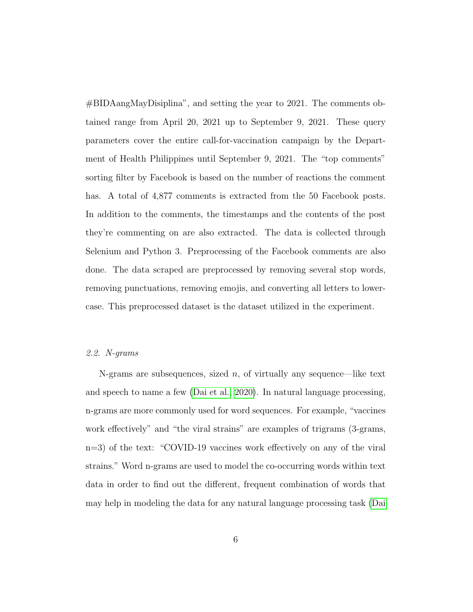#BIDAangMayDisiplina", and setting the year to 2021. The comments obtained range from April 20, 2021 up to September 9, 2021. These query parameters cover the entire call-for-vaccination campaign by the Department of Health Philippines until September 9, 2021. The "top comments" sorting filter by Facebook is based on the number of reactions the comment has. A total of  $4,877$  comments is extracted from the 50 Facebook posts. In addition to the comments, the timestamps and the contents of the post they're commenting on are also extracted. The data is collected through Selenium and Python 3. Preprocessing of the Facebook comments are also done. The data scraped are preprocessed by removing several stop words, removing punctuations, removing emojis, and converting all letters to lowercase. This preprocessed dataset is the dataset utilized in the experiment.

## 2.2. N-grams

N-grams are subsequences, sized  $n$ , of virtually any sequence—like text and speech to name a few [\(Dai et al., 2020\)](#page-43-5). In natural language processing, n-grams are more commonly used for word sequences. For example, "vaccines work effectively" and "the viral strains" are examples of trigrams (3-grams, n=3) of the text: "COVID-19 vaccines work effectively on any of the viral strains." Word n-grams are used to model the co-occurring words within text data in order to find out the different, frequent combination of words that may help in modeling the data for any natural language processing task [\(Dai](#page-43-5)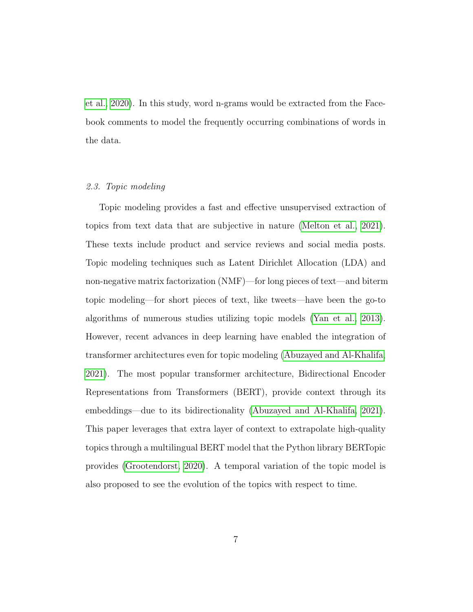[et al., 2020\)](#page-43-5). In this study, word n-grams would be extracted from the Facebook comments to model the frequently occurring combinations of words in the data.

# 2.3. Topic modeling

Topic modeling provides a fast and effective unsupervised extraction of topics from text data that are subjective in nature [\(Melton et al., 2021\)](#page-43-3). These texts include product and service reviews and social media posts. Topic modeling techniques such as Latent Dirichlet Allocation (LDA) and non-negative matrix factorization (NMF)—for long pieces of text—and biterm topic modeling—for short pieces of text, like tweets—have been the go-to algorithms of numerous studies utilizing topic models [\(Yan et al., 2013\)](#page-43-6). However, recent advances in deep learning have enabled the integration of transformer architectures even for topic modeling [\(Abuzayed and Al-Khalifa,](#page-44-0) [2021\)](#page-44-0). The most popular transformer architecture, Bidirectional Encoder Representations from Transformers (BERT), provide context through its embeddings—due to its bidirectionality [\(Abuzayed and Al-Khalifa, 2021\)](#page-44-0). This paper leverages that extra layer of context to extrapolate high-quality topics through a multilingual BERT model that the Python library BERTopic provides [\(Grootendorst, 2020\)](#page-44-1). A temporal variation of the topic model is also proposed to see the evolution of the topics with respect to time.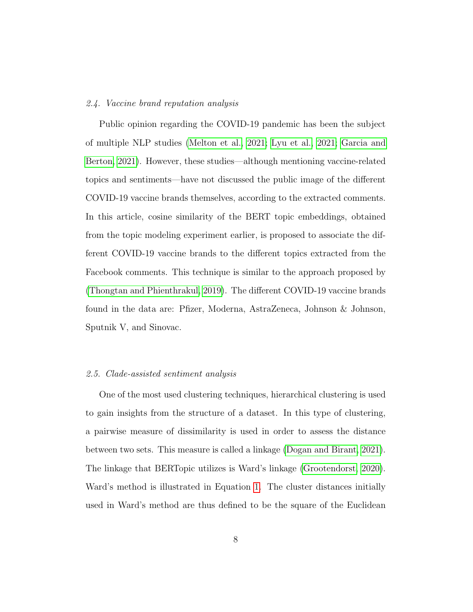# 2.4. Vaccine brand reputation analysis

Public opinion regarding the COVID-19 pandemic has been the subject of multiple NLP studies [\(Melton et al., 2021;](#page-43-3) [Lyu et al., 2021;](#page-44-2) [Garcia and](#page-43-4) [Berton, 2021\)](#page-43-4). However, these studies—although mentioning vaccine-related topics and sentiments—have not discussed the public image of the different COVID-19 vaccine brands themselves, according to the extracted comments. In this article, cosine similarity of the BERT topic embeddings, obtained from the topic modeling experiment earlier, is proposed to associate the different COVID-19 vaccine brands to the different topics extracted from the Facebook comments. This technique is similar to the approach proposed by [\(Thongtan and Phienthrakul, 2019\)](#page-44-3). The different COVID-19 vaccine brands found in the data are: Pfizer, Moderna, AstraZeneca, Johnson & Johnson, Sputnik V, and Sinovac.

#### 2.5. Clade-assisted sentiment analysis

One of the most used clustering techniques, hierarchical clustering is used to gain insights from the structure of a dataset. In this type of clustering, a pairwise measure of dissimilarity is used in order to assess the distance between two sets. This measure is called a linkage [\(Dogan and Birant, 2021\)](#page-44-4). The linkage that BERTopic utilizes is Ward's linkage [\(Grootendorst, 2020\)](#page-44-1). Ward's method is illustrated in Equation [1.](#page-8-0) The cluster distances initially used in Ward's method are thus defined to be the square of the Euclidean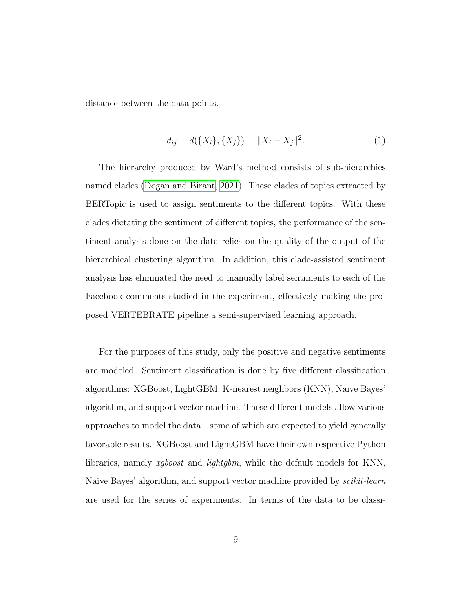distance between the data points.

<span id="page-8-0"></span>
$$
d_{ij} = d(\{X_i\}, \{X_j\}) = ||X_i - X_j||^2.
$$
\n(1)

The hierarchy produced by Ward's method consists of sub-hierarchies named clades [\(Dogan and Birant, 2021\)](#page-44-4). These clades of topics extracted by BERTopic is used to assign sentiments to the different topics. With these clades dictating the sentiment of different topics, the performance of the sentiment analysis done on the data relies on the quality of the output of the hierarchical clustering algorithm. In addition, this clade-assisted sentiment analysis has eliminated the need to manually label sentiments to each of the Facebook comments studied in the experiment, effectively making the proposed VERTEBRATE pipeline a semi-supervised learning approach.

For the purposes of this study, only the positive and negative sentiments are modeled. Sentiment classification is done by five different classification algorithms: XGBoost, LightGBM, K-nearest neighbors (KNN), Naive Bayes' algorithm, and support vector machine. These different models allow various approaches to model the data—some of which are expected to yield generally favorable results. XGBoost and LightGBM have their own respective Python libraries, namely xgboost and lightgbm, while the default models for KNN, Naive Bayes' algorithm, and support vector machine provided by *scikit-learn* are used for the series of experiments. In terms of the data to be classi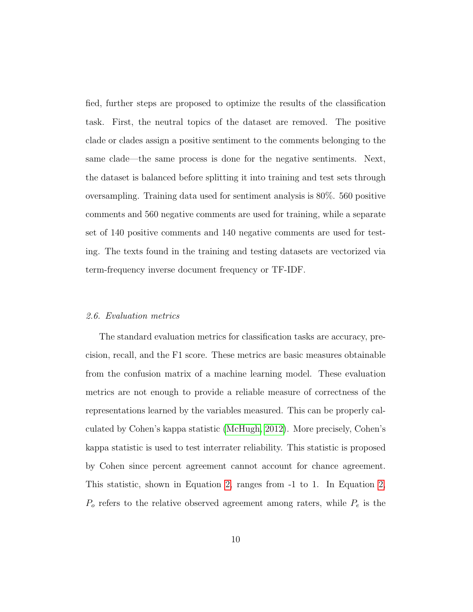fied, further steps are proposed to optimize the results of the classification task. First, the neutral topics of the dataset are removed. The positive clade or clades assign a positive sentiment to the comments belonging to the same clade—the same process is done for the negative sentiments. Next, the dataset is balanced before splitting it into training and test sets through oversampling. Training data used for sentiment analysis is 80%. 560 positive comments and 560 negative comments are used for training, while a separate set of 140 positive comments and 140 negative comments are used for testing. The texts found in the training and testing datasets are vectorized via term-frequency inverse document frequency or TF-IDF.

#### 2.6. Evaluation metrics

The standard evaluation metrics for classification tasks are accuracy, precision, recall, and the F1 score. These metrics are basic measures obtainable from the confusion matrix of a machine learning model. These evaluation metrics are not enough to provide a reliable measure of correctness of the representations learned by the variables measured. This can be properly calculated by Cohen's kappa statistic [\(McHugh, 2012\)](#page-44-5). More precisely, Cohen's kappa statistic is used to test interrater reliability. This statistic is proposed by Cohen since percent agreement cannot account for chance agreement. This statistic, shown in Equation [2,](#page-10-0) ranges from -1 to 1. In Equation [2,](#page-10-0)  $P_o$  refers to the relative observed agreement among raters, while  $P_e$  is the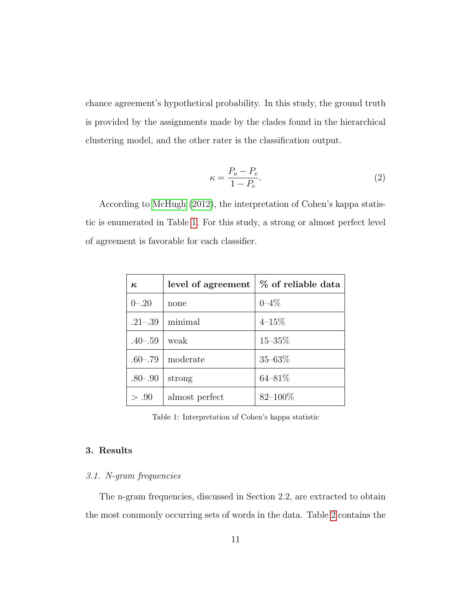chance agreement's hypothetical probability. In this study, the ground truth is provided by the assignments made by the clades found in the hierarchical clustering model, and the other rater is the classification output.

<span id="page-10-0"></span>
$$
\kappa = \frac{P_o - P_e}{1 - P_e}.\tag{2}
$$

According to [McHugh](#page-44-5) [\(2012\)](#page-44-5), the interpretation of Cohen's kappa statistic is enumerated in Table [1.](#page-10-1) For this study, a strong or almost perfect level of agreement is favorable for each classifier.

| $\kappa$    | level of agreement | % of reliable data |  |
|-------------|--------------------|--------------------|--|
| $0 - 20$    | none               | $0 - 4\%$          |  |
| $.21 - .39$ | minimal            | $4 - 15\%$         |  |
| $.40 - .59$ | weak               | $15 - 35\%$        |  |
| $.60 - .79$ | moderate           | $35 - 63\%$        |  |
| $.80 - .90$ | strong             | $64 - 81\%$        |  |
| > .90       | almost perfect     | $82 - 100\%$       |  |

<span id="page-10-1"></span>Table 1: Interpretation of Cohen's kappa statistic

# 3. Results

# 3.1. N-gram frequencies

The n-gram frequencies, discussed in Section 2.2, are extracted to obtain the most commonly occurring sets of words in the data. Table [2](#page-11-0) contains the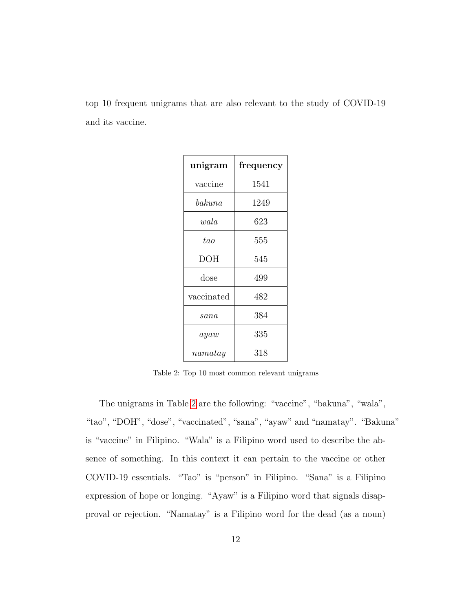top 10 frequent unigrams that are also relevant to the study of COVID-19 and its vaccine.

| unigram         | frequency |  |
|-----------------|-----------|--|
| vaccine         | 1541      |  |
| $\emph{bakuna}$ | 1249      |  |
| wala            | 623       |  |
| tao             | 555       |  |
| DOH             | 545       |  |
| $\frac{1}{2}$   | 499       |  |
| vaccinated      | 482       |  |
| sana            | 384       |  |
| a y a w         | 335       |  |
| $\it namatay$   | 318       |  |

<span id="page-11-0"></span>Table 2: Top 10 most common relevant unigrams

The unigrams in Table [2](#page-11-0) are the following: "vaccine", "bakuna", "wala", "tao", "DOH", "dose", "vaccinated", "sana", "ayaw" and "namatay". "Bakuna" is "vaccine" in Filipino. "Wala" is a Filipino word used to describe the absence of something. In this context it can pertain to the vaccine or other COVID-19 essentials. "Tao" is "person" in Filipino. "Sana" is a Filipino expression of hope or longing. "Ayaw" is a Filipino word that signals disapproval or rejection. "Namatay" is a Filipino word for the dead (as a noun)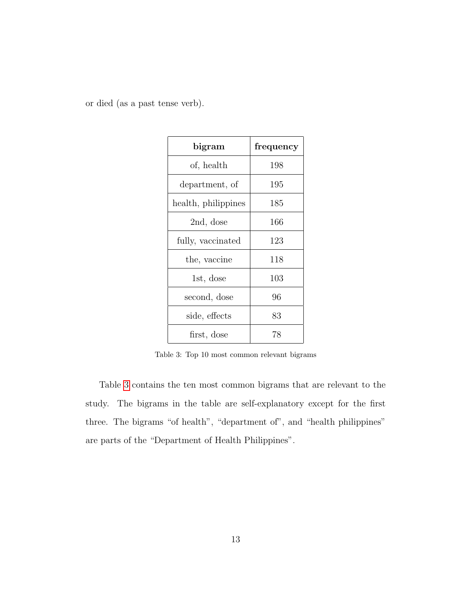or died (as a past tense verb).

| bigram              | frequency |
|---------------------|-----------|
| of, health          | 198       |
| department, of      | 195       |
| health, philippines | 185       |
| 2nd, dose           | 166       |
| fully, vaccinated   | 123       |
| the, vaccine        | 118       |
| 1st, dose           | 103       |
| second, dose        | 96        |
| side, effects       | 83        |
| first, dose         | 78        |

<span id="page-12-0"></span>Table 3: Top 10 most common relevant bigrams

Table [3](#page-12-0) contains the ten most common bigrams that are relevant to the study. The bigrams in the table are self-explanatory except for the first three. The bigrams "of health", "department of", and "health philippines" are parts of the "Department of Health Philippines".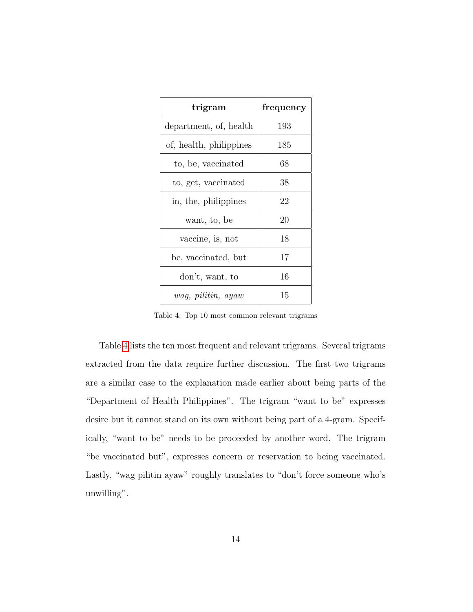| trigram                 | frequency |
|-------------------------|-----------|
| department, of, health  | 193       |
| of, health, philippines | 185       |
| to, be, vaccinated      | 68        |
| to, get, vaccinated     | 38        |
| in, the, philippines    | 22        |
| want, to, be            | 20        |
| vaccine, is, not        | 18        |
| be, vaccinated, but     | 17        |
| don't, want, to         | 16        |
| wag, pilitin, ayaw      | 15        |

<span id="page-13-0"></span>Table 4: Top 10 most common relevant trigrams

Table [4](#page-13-0) lists the ten most frequent and relevant trigrams. Several trigrams extracted from the data require further discussion. The first two trigrams are a similar case to the explanation made earlier about being parts of the "Department of Health Philippines". The trigram "want to be" expresses desire but it cannot stand on its own without being part of a 4-gram. Specifically, "want to be" needs to be proceeded by another word. The trigram "be vaccinated but", expresses concern or reservation to being vaccinated. Lastly, "wag pilitin ayaw" roughly translates to "don't force someone who's unwilling".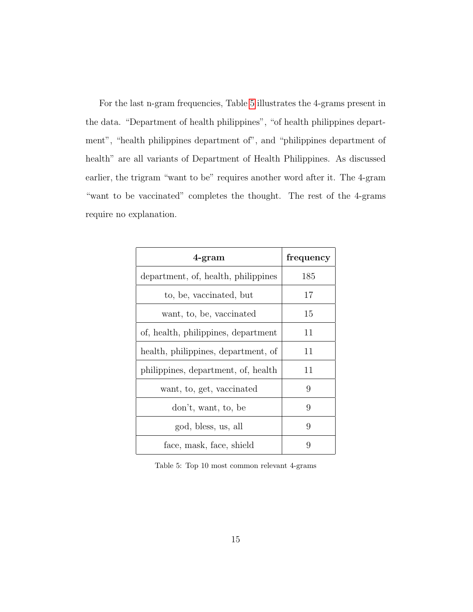For the last n-gram frequencies, Table [5](#page-14-0) illustrates the 4-grams present in the data. "Department of health philippines", "of health philippines department", "health philippines department of", and "philippines department of health" are all variants of Department of Health Philippines. As discussed earlier, the trigram "want to be" requires another word after it. The 4-gram "want to be vaccinated" completes the thought. The rest of the 4-grams require no explanation.

| $4$ -gram                           | frequency |
|-------------------------------------|-----------|
| department, of, health, philippines | 185       |
| to, be, vaccinated, but             | 17        |
| want, to, be, vaccinated            | 15        |
| of, health, philippines, department | 11        |
| health, philippines, department, of | 11        |
| philippines, department, of, health | 11        |
| want, to, get, vaccinated           | 9         |
| don't, want, to, be                 | 9         |
| god, bless, us, all                 | 9         |
| face, mask, face, shield            | 9         |

<span id="page-14-0"></span>Table 5: Top 10 most common relevant 4-grams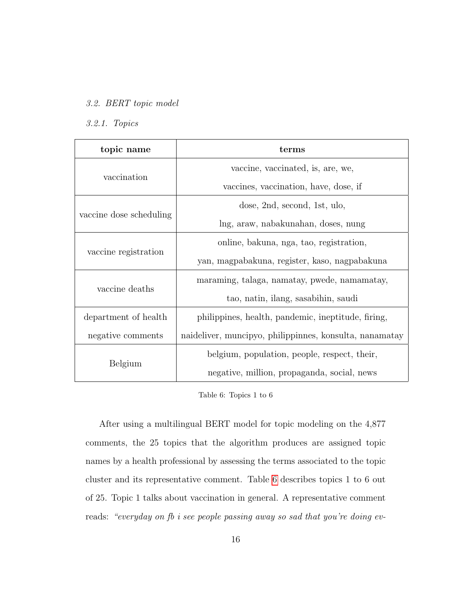# 3.2. BERT topic model

# 3.2.1. Topics

| topic name              | terms                                                   |  |  |
|-------------------------|---------------------------------------------------------|--|--|
|                         | vaccine, vaccinated, is, are, we,                       |  |  |
| vaccination             | vaccines, vaccination, have, dose, if                   |  |  |
|                         | dose, 2nd, second, 1st, ulo,                            |  |  |
| vaccine dose scheduling | lng, araw, nabakunahan, doses, nung                     |  |  |
|                         | online, bakuna, nga, tao, registration,                 |  |  |
| vaccine registration    | yan, magpabakuna, register, kaso, nagpabakuna           |  |  |
|                         | maraming, talaga, namatay, pwede, namamatay,            |  |  |
| vaccine deaths          | tao, natin, ilang, sasabihin, saudi                     |  |  |
| department of health    | philippines, health, pandemic, ineptitude, firing,      |  |  |
| negative comments       | naideliver, muncipyo, philippinnes, konsulta, nanamatay |  |  |
|                         | belgium, population, people, respect, their,            |  |  |
| Belgium                 | negative, million, propaganda, social, news             |  |  |

<span id="page-15-0"></span>Table 6: Topics 1 to 6

After using a multilingual BERT model for topic modeling on the 4,877 comments, the 25 topics that the algorithm produces are assigned topic names by a health professional by assessing the terms associated to the topic cluster and its representative comment. Table [6](#page-15-0) describes topics 1 to 6 out of 25. Topic 1 talks about vaccination in general. A representative comment reads: "everyday on fb i see people passing away so sad that you're doing ev-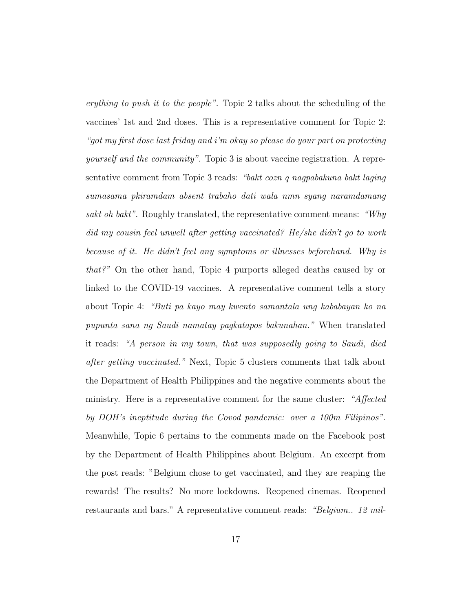erything to push it to the people". Topic 2 talks about the scheduling of the vaccines' 1st and 2nd doses. This is a representative comment for Topic 2: "got my first dose last friday and i'm okay so please do your part on protecting yourself and the community". Topic 3 is about vaccine registration. A representative comment from Topic 3 reads: "bakt cozn q nagpabakuna bakt laging sumasama pkiramdam absent trabaho dati wala nmn syang naramdamang sakt oh bakt". Roughly translated, the representative comment means: "Why did my cousin feel unwell after getting vaccinated? He/she didn't go to work because of it. He didn't feel any symptoms or illnesses beforehand. Why is that?" On the other hand, Topic 4 purports alleged deaths caused by or linked to the COVID-19 vaccines. A representative comment tells a story about Topic 4: "Buti pa kayo may kwento samantala ung kababayan ko na pupunta sana ng Saudi namatay pagkatapos bakunahan." When translated it reads: "A person in my town, that was supposedly going to Saudi, died after getting vaccinated." Next, Topic 5 clusters comments that talk about the Department of Health Philippines and the negative comments about the ministry. Here is a representative comment for the same cluster: "Affected" by DOH's ineptitude during the Covod pandemic: over a 100m Filipinos". Meanwhile, Topic 6 pertains to the comments made on the Facebook post by the Department of Health Philippines about Belgium. An excerpt from the post reads: "Belgium chose to get vaccinated, and they are reaping the rewards! The results? No more lockdowns. Reopened cinemas. Reopened restaurants and bars." A representative comment reads: "Belgium.. 12 mil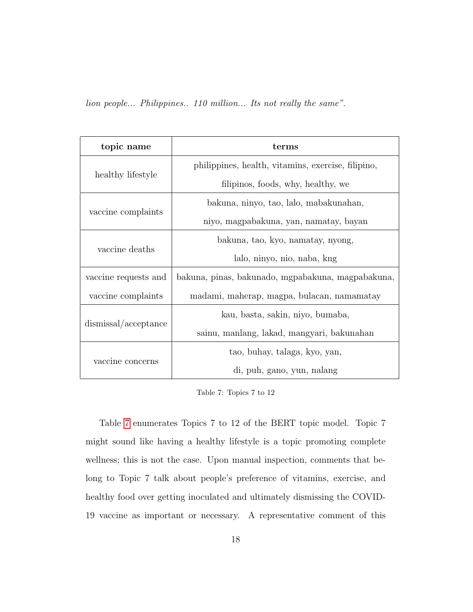lion people... Philippines.. 110 million... Its not really the same".

| topic name           | terms                                              |  |  |  |
|----------------------|----------------------------------------------------|--|--|--|
|                      | philippines, health, vitamins, exercise, filipino, |  |  |  |
| healthy lifestyle    | filipinos, foods, why, healthy, we                 |  |  |  |
|                      | bakuna, ninyo, tao, lalo, mabakunahan,             |  |  |  |
| vaccine complaints   | niyo, magpabakuna, yan, namatay, bayan             |  |  |  |
|                      | bakuna, tao, kyo, namatay, nyong,                  |  |  |  |
| vaccine deaths       | lalo, ninyo, nio, naba, kng                        |  |  |  |
| vaccine requests and | bakuna, pinas, bakunado, mgpabakuna, magpabakuna,  |  |  |  |
| vaccine complaints   | madami, maherap, magpa, bulacan, namamatay         |  |  |  |
|                      | kau, basta, sakin, niyo, bumaba,                   |  |  |  |
| dismissal/acceptance | sainu, manlang, lakad, mangyari, bakunahan         |  |  |  |
|                      | tao, buhay, talaga, kyo, yan,                      |  |  |  |
| vaccine concerns     | di, puh, gano, yun, nalang                         |  |  |  |

<span id="page-17-0"></span>Table 7: Topics 7 to 12

Table [7](#page-17-0) enumerates Topics 7 to 12 of the BERT topic model. Topic 7 might sound like having a healthy lifestyle is a topic promoting complete wellness; this is not the case. Upon manual inspection, comments that belong to Topic 7 talk about people's preference of vitamins, exercise, and healthy food over getting inoculated and ultimately dismissing the COVID-19 vaccine as important or necessary. A representative comment of this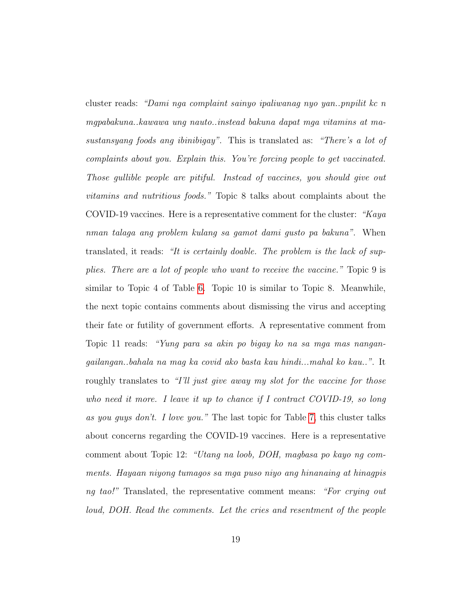cluster reads: "Dami nga complaint sainyo ipaliwanag nyo yan..pnpilit kc n mgpabakuna..kawawa ung nauto..instead bakuna dapat mga vitamins at masustansyang foods ang ibinibigay". This is translated as: "There's a lot of complaints about you. Explain this. You're forcing people to get vaccinated. Those gullible people are pitiful. Instead of vaccines, you should give out vitamins and nutritious foods." Topic 8 talks about complaints about the COVID-19 vaccines. Here is a representative comment for the cluster: "Kaya" nman talaga ang problem kulang sa gamot dami gusto pa bakuna". When translated, it reads: "It is certainly doable. The problem is the lack of supplies. There are a lot of people who want to receive the vaccine." Topic 9 is similar to Topic 4 of Table [6.](#page-15-0) Topic 10 is similar to Topic 8. Meanwhile, the next topic contains comments about dismissing the virus and accepting their fate or futility of government efforts. A representative comment from Topic 11 reads: "Yung para sa akin po bigay ko na sa mga mas nangangailangan..bahala na mag ka covid ako basta kau hindi...mahal ko kau..". It roughly translates to "I'll just give away my slot for the vaccine for those who need it more. I leave it up to chance if I contract COVID-19, so long as you guys don't. I love you." The last topic for Table [7,](#page-17-0) this cluster talks about concerns regarding the COVID-19 vaccines. Here is a representative comment about Topic 12: "Utang na loob, DOH, magbasa po kayo ng comments. Hayaan niyong tumagos sa mga puso niyo ang hinanaing at hinagpis ng tao!" Translated, the representative comment means: "For crying out loud, DOH. Read the comments. Let the cries and resentment of the people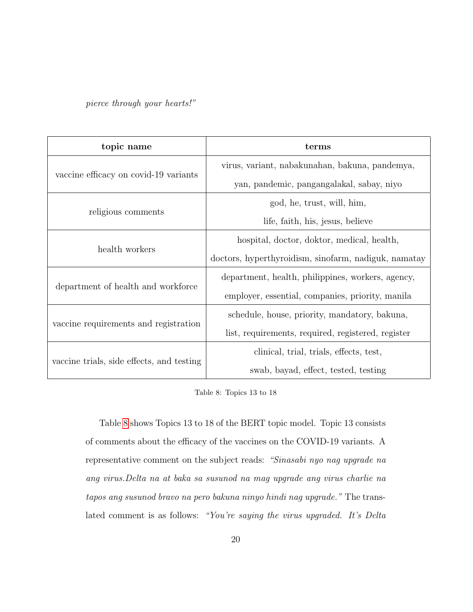pierce through your hearts!"

| topic name                                | terms                                                |  |
|-------------------------------------------|------------------------------------------------------|--|
|                                           | virus, variant, nabakunahan, bakuna, pandemya,       |  |
| vaccine efficacy on covid-19 variants     | yan, pandemic, pangangalakal, sabay, niyo            |  |
|                                           | god, he, trust, will, him,                           |  |
| religious comments                        | life, faith, his, jesus, believe                     |  |
| health workers                            | hospital, doctor, doktor, medical, health,           |  |
|                                           | doctors, hyperthyroidism, sinofarm, nadiguk, namatay |  |
|                                           | department, health, philippines, workers, agency,    |  |
| department of health and workforce        | employer, essential, companies, priority, manila     |  |
|                                           | schedule, house, priority, mandatory, bakuna,        |  |
| vaccine requirements and registration     | list, requirements, required, registered, register   |  |
|                                           | clinical, trial, trials, effects, test,              |  |
| vaccine trials, side effects, and testing | swab, bayad, effect, tested, testing                 |  |

<span id="page-19-0"></span>Table 8: Topics 13 to 18

Table [8](#page-19-0) shows Topics 13 to 18 of the BERT topic model. Topic 13 consists of comments about the efficacy of the vaccines on the COVID-19 variants. A representative comment on the subject reads: "Sinasabi nyo nag upgrade na ang virus.Delta na at baka sa susunod na mag upgrade ang virus charlie na tapos ang susunod bravo na pero bakuna ninyo hindi nag upgrade." The translated comment is as follows: "You're saying the virus upgraded. It's Delta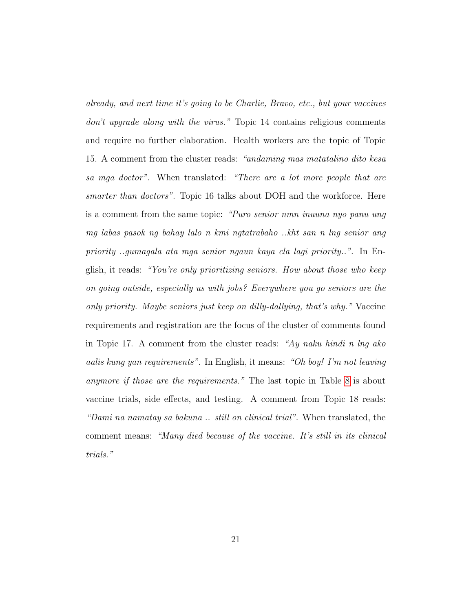already, and next time it's going to be Charlie, Bravo, etc., but your vaccines don't upgrade along with the virus." Topic 14 contains religious comments and require no further elaboration. Health workers are the topic of Topic 15. A comment from the cluster reads: "andaming mas matatalino dito kesa sa mga doctor". When translated: "There are a lot more people that are smarter than doctors". Topic 16 talks about DOH and the workforce. Here is a comment from the same topic: "Puro senior nmn inuuna nyo panu ung mg labas pasok ng bahay lalo n kmi ngtatrabaho ..kht san n lng senior ang priority ..gumagala ata mga senior ngaun kaya cla lagi priority..". In English, it reads: "You're only prioritizing seniors. How about those who keep on going outside, especially us with jobs? Everywhere you go seniors are the only priority. Maybe seniors just keep on dilly-dallying, that's why." Vaccine requirements and registration are the focus of the cluster of comments found in Topic 17. A comment from the cluster reads: "Ay naku hindi n lng ako aalis kung yan requirements". In English, it means: "Oh boy! I'm not leaving anymore if those are the requirements." The last topic in Table [8](#page-19-0) is about vaccine trials, side effects, and testing. A comment from Topic 18 reads: "Dami na namatay sa bakuna .. still on clinical trial". When translated, the comment means: "Many died because of the vaccine. It's still in its clinical trials."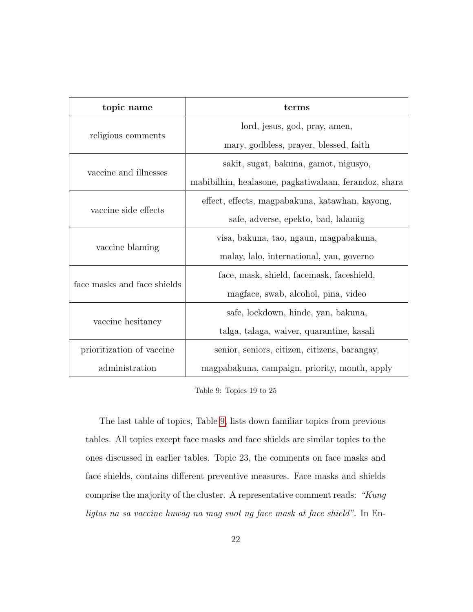| topic name                  | terms                                                 |  |  |
|-----------------------------|-------------------------------------------------------|--|--|
|                             | lord, jesus, god, pray, amen,                         |  |  |
| religious comments          | mary, godbless, prayer, blessed, faith                |  |  |
|                             | sakit, sugat, bakuna, gamot, nigusyo,                 |  |  |
| vaccine and illnesses       | mabibilhin, healasone, pagkatiwalaan, ferandoz, shara |  |  |
|                             | effect, effects, magpabakuna, katawhan, kayong,       |  |  |
| vaccine side effects        | safe, adverse, epekto, bad, lalamig                   |  |  |
|                             | visa, bakuna, tao, ngaun, magpabakuna,                |  |  |
| vaccine blaming             | malay, lalo, international, yan, governo              |  |  |
|                             | face, mask, shield, facemask, faceshield,             |  |  |
| face masks and face shields | magface, swab, alcohol, pina, video                   |  |  |
|                             | safe, lockdown, hinde, yan, bakuna,                   |  |  |
| vaccine hesitancy           | talga, talaga, waiver, quarantine, kasali             |  |  |
| prioritization of vaccine   | senior, seniors, citizen, citizens, barangay,         |  |  |
| administration              | magpabakuna, campaign, priority, month, apply         |  |  |

<span id="page-21-0"></span>Table 9: Topics 19 to 25

The last table of topics, Table [9,](#page-21-0) lists down familiar topics from previous tables. All topics except face masks and face shields are similar topics to the ones discussed in earlier tables. Topic 23, the comments on face masks and face shields, contains different preventive measures. Face masks and shields comprise the majority of the cluster. A representative comment reads: "Kung ligtas na sa vaccine huwag na mag suot ng face mask at face shield". In En-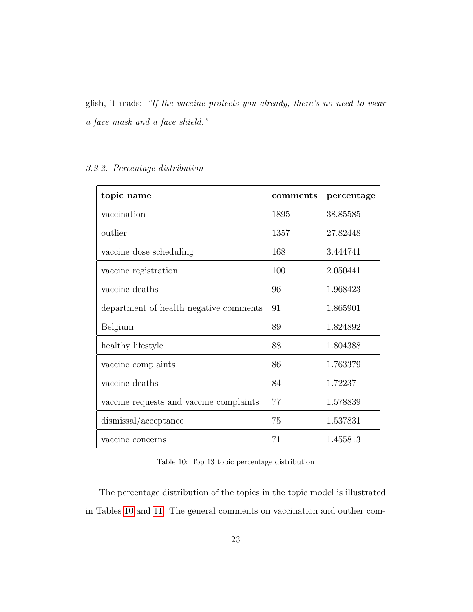glish, it reads: "If the vaccine protects you already, there's no need to wear a face mask and a face shield."

# 3.2.2. Percentage distribution

| topic name                              | comments | percentage |  |
|-----------------------------------------|----------|------------|--|
| vaccination                             | 1895     | 38.85585   |  |
| outlier                                 | 1357     | 27.82448   |  |
| vaccine dose scheduling                 | 168      | 3.444741   |  |
| vaccine registration                    | 100      | 2.050441   |  |
| vaccine deaths                          | 96       | 1.968423   |  |
| department of health negative comments  | 91       | 1.865901   |  |
| Belgium                                 | 89       | 1.824892   |  |
| healthy lifestyle                       | 88       | 1.804388   |  |
| vaccine complaints                      | 86       | 1.763379   |  |
| vaccine deaths                          | 84       | 1.72237    |  |
| vaccine requests and vaccine complaints | 77       | 1.578839   |  |
| dismissal/acceptance                    | 75       | 1.537831   |  |
| vaccine concerns                        | 71       | 1.455813   |  |

<span id="page-22-0"></span>Table 10: Top 13 topic percentage distribution

The percentage distribution of the topics in the topic model is illustrated in Tables [10](#page-22-0) and [11.](#page-23-0) The general comments on vaccination and outlier com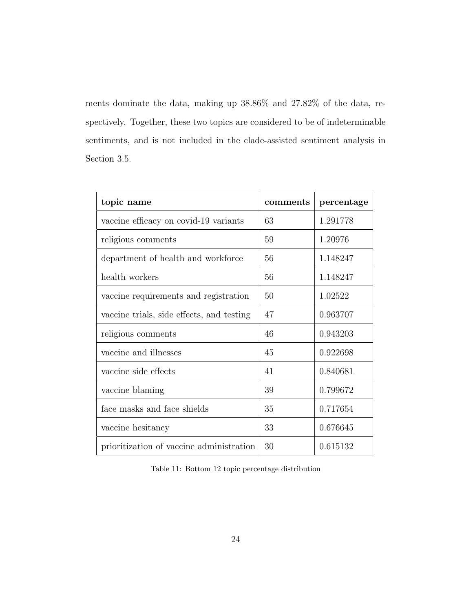ments dominate the data, making up 38.86% and 27.82% of the data, respectively. Together, these two topics are considered to be of indeterminable sentiments, and is not included in the clade-assisted sentiment analysis in Section 3.5.

| topic name                                | comments | percentage |  |
|-------------------------------------------|----------|------------|--|
| vaccine efficacy on covid-19 variants     | 63       | 1.291778   |  |
| religious comments                        | 59       | 1.20976    |  |
| department of health and workforce        | 56       | 1.148247   |  |
| health workers                            | 56       | 1.148247   |  |
| vaccine requirements and registration     | 50       | 1.02522    |  |
| vaccine trials, side effects, and testing | 47       | 0.963707   |  |
| religious comments                        | 46       | 0.943203   |  |
| vaccine and illnesses                     | 45       | 0.922698   |  |
| vaccine side effects                      | 41       | 0.840681   |  |
| vaccine blaming                           | 39       | 0.799672   |  |
| face masks and face shields               | 35       | 0.717654   |  |
| vaccine hesitancy                         | 33       | 0.676645   |  |
| prioritization of vaccine administration  | 30       | 0.615132   |  |

<span id="page-23-0"></span>Table 11: Bottom 12 topic percentage distribution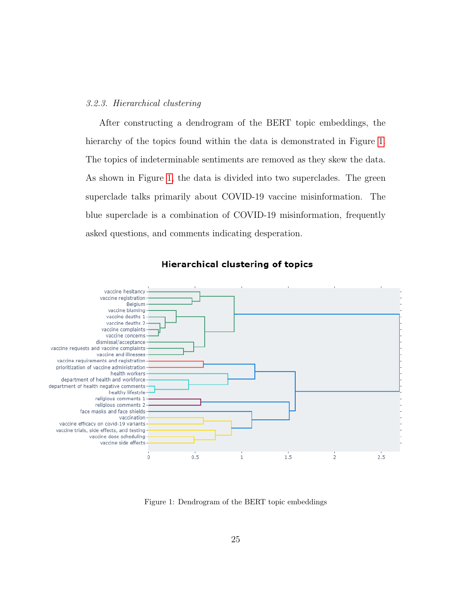## 3.2.3. Hierarchical clustering

After constructing a dendrogram of the BERT topic embeddings, the hierarchy of the topics found within the data is demonstrated in Figure [1.](#page-24-0) The topics of indeterminable sentiments are removed as they skew the data. As shown in Figure [1,](#page-24-0) the data is divided into two superclades. The green superclade talks primarily about COVID-19 vaccine misinformation. The blue superclade is a combination of COVID-19 misinformation, frequently asked questions, and comments indicating desperation.



**Hierarchical clustering of topics** 

<span id="page-24-0"></span>Figure 1: Dendrogram of the BERT topic embeddings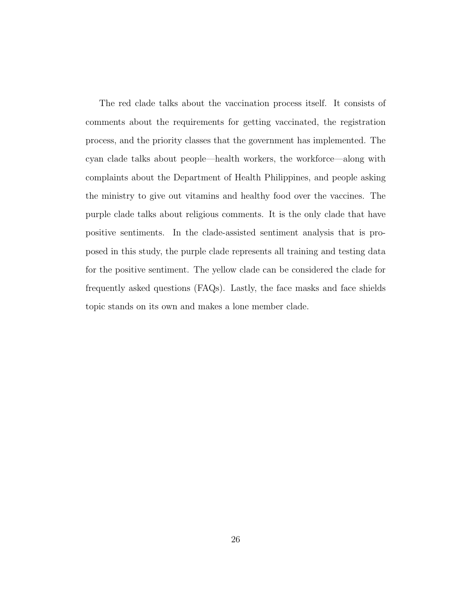The red clade talks about the vaccination process itself. It consists of comments about the requirements for getting vaccinated, the registration process, and the priority classes that the government has implemented. The cyan clade talks about people—health workers, the workforce—along with complaints about the Department of Health Philippines, and people asking the ministry to give out vitamins and healthy food over the vaccines. The purple clade talks about religious comments. It is the only clade that have positive sentiments. In the clade-assisted sentiment analysis that is proposed in this study, the purple clade represents all training and testing data for the positive sentiment. The yellow clade can be considered the clade for frequently asked questions (FAQs). Lastly, the face masks and face shields topic stands on its own and makes a lone member clade.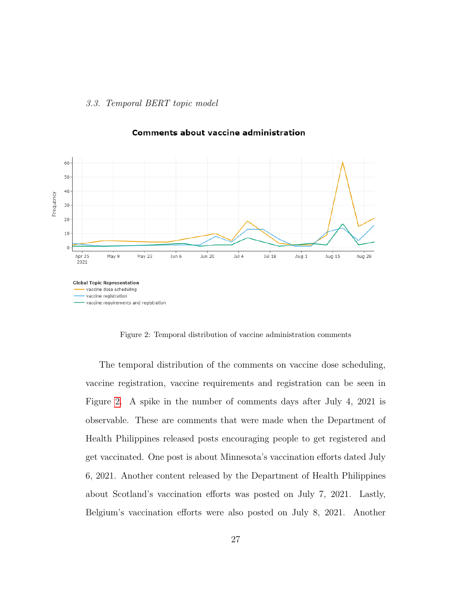## 3.3. Temporal BERT topic model



# **Comments about vaccine administration**

<span id="page-26-0"></span>Figure 2: Temporal distribution of vaccine administration comments

The temporal distribution of the comments on vaccine dose scheduling, vaccine registration, vaccine requirements and registration can be seen in Figure [2.](#page-26-0) A spike in the number of comments days after July 4, 2021 is observable. These are comments that were made when the Department of Health Philippines released posts encouraging people to get registered and get vaccinated. One post is about Minnesota's vaccination efforts dated July 6, 2021. Another content released by the Department of Health Philippines about Scotland's vaccination efforts was posted on July 7, 2021. Lastly, Belgium's vaccination efforts were also posted on July 8, 2021. Another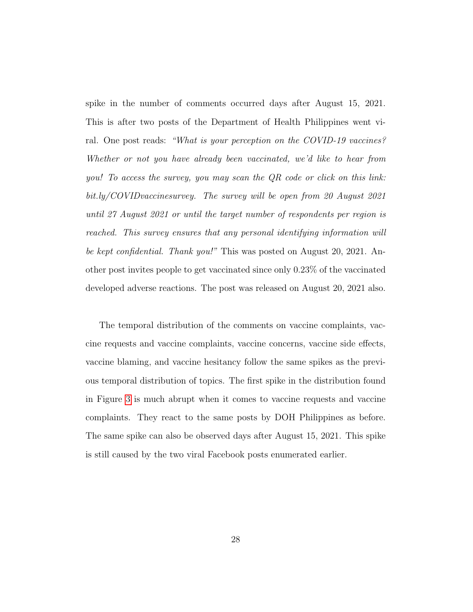spike in the number of comments occurred days after August 15, 2021. This is after two posts of the Department of Health Philippines went viral. One post reads: "What is your perception on the COVID-19 vaccines? Whether or not you have already been vaccinated, we'd like to hear from you! To access the survey, you may scan the QR code or click on this link: bit.ly/COVIDvaccinesurvey. The survey will be open from 20 August 2021 until 27 August 2021 or until the target number of respondents per region is reached. This survey ensures that any personal identifying information will be kept confidential. Thank you!" This was posted on August 20, 2021. Another post invites people to get vaccinated since only 0.23% of the vaccinated developed adverse reactions. The post was released on August 20, 2021 also.

The temporal distribution of the comments on vaccine complaints, vaccine requests and vaccine complaints, vaccine concerns, vaccine side effects, vaccine blaming, and vaccine hesitancy follow the same spikes as the previous temporal distribution of topics. The first spike in the distribution found in Figure [3](#page-28-0) is much abrupt when it comes to vaccine requests and vaccine complaints. They react to the same posts by DOH Philippines as before. The same spike can also be observed days after August 15, 2021. This spike is still caused by the two viral Facebook posts enumerated earlier.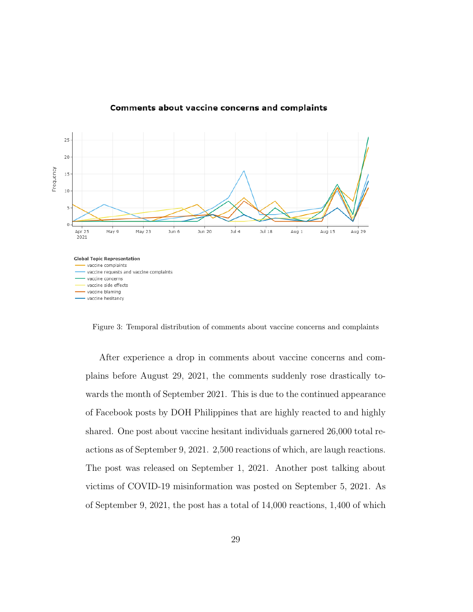

#### **Comments about vaccine concerns and complaints**

<span id="page-28-0"></span>Figure 3: Temporal distribution of comments about vaccine concerns and complaints

After experience a drop in comments about vaccine concerns and complains before August 29, 2021, the comments suddenly rose drastically towards the month of September 2021. This is due to the continued appearance of Facebook posts by DOH Philippines that are highly reacted to and highly shared. One post about vaccine hesitant individuals garnered 26,000 total reactions as of September 9, 2021. 2,500 reactions of which, are laugh reactions. The post was released on September 1, 2021. Another post talking about victims of COVID-19 misinformation was posted on September 5, 2021. As of September 9, 2021, the post has a total of 14,000 reactions, 1,400 of which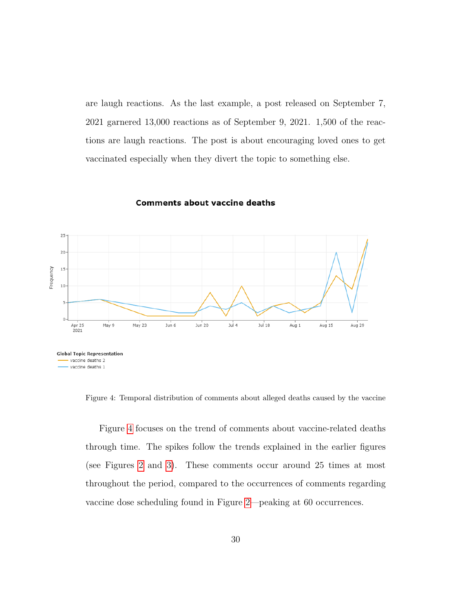are laugh reactions. As the last example, a post released on September 7, 2021 garnered 13,000 reactions as of September 9, 2021. 1,500 of the reactions are laugh reactions. The post is about encouraging loved ones to get vaccinated especially when they divert the topic to something else.



#### **Comments about vaccine deaths**

<span id="page-29-0"></span>Figure 4: Temporal distribution of comments about alleged deaths caused by the vaccine

Figure [4](#page-29-0) focuses on the trend of comments about vaccine-related deaths through time. The spikes follow the trends explained in the earlier figures (see Figures [2](#page-26-0) and [3\)](#page-28-0). These comments occur around 25 times at most throughout the period, compared to the occurrences of comments regarding vaccine dose scheduling found in Figure [2—](#page-26-0)peaking at 60 occurrences.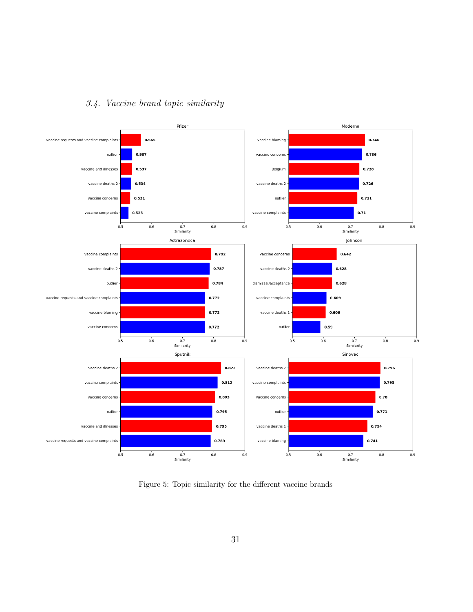



<span id="page-30-0"></span>Figure 5: Topic similarity for the different vaccine brands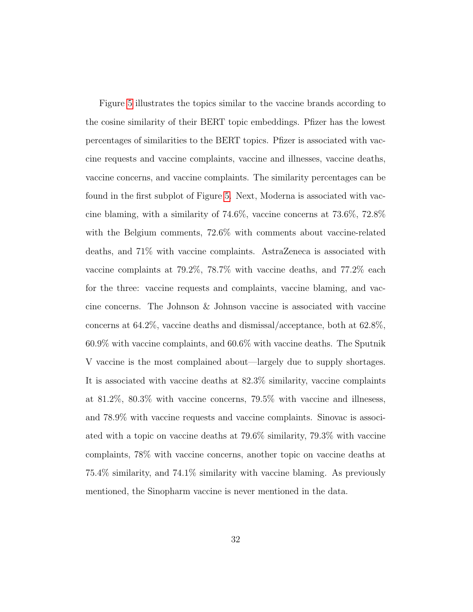Figure [5](#page-30-0) illustrates the topics similar to the vaccine brands according to the cosine similarity of their BERT topic embeddings. Pfizer has the lowest percentages of similarities to the BERT topics. Pfizer is associated with vaccine requests and vaccine complaints, vaccine and illnesses, vaccine deaths, vaccine concerns, and vaccine complaints. The similarity percentages can be found in the first subplot of Figure [5.](#page-30-0) Next, Moderna is associated with vaccine blaming, with a similarity of 74.6%, vaccine concerns at 73.6%, 72.8% with the Belgium comments, 72.6% with comments about vaccine-related deaths, and 71% with vaccine complaints. AstraZeneca is associated with vaccine complaints at 79.2%, 78.7% with vaccine deaths, and 77.2% each for the three: vaccine requests and complaints, vaccine blaming, and vaccine concerns. The Johnson & Johnson vaccine is associated with vaccine concerns at 64.2%, vaccine deaths and dismissal/acceptance, both at 62.8%, 60.9% with vaccine complaints, and 60.6% with vaccine deaths. The Sputnik V vaccine is the most complained about—largely due to supply shortages. It is associated with vaccine deaths at 82.3% similarity, vaccine complaints at 81.2%, 80.3% with vaccine concerns, 79.5% with vaccine and illnesess, and 78.9% with vaccine requests and vaccine complaints. Sinovac is associated with a topic on vaccine deaths at 79.6% similarity, 79.3% with vaccine complaints, 78% with vaccine concerns, another topic on vaccine deaths at 75.4% similarity, and 74.1% similarity with vaccine blaming. As previously mentioned, the Sinopharm vaccine is never mentioned in the data.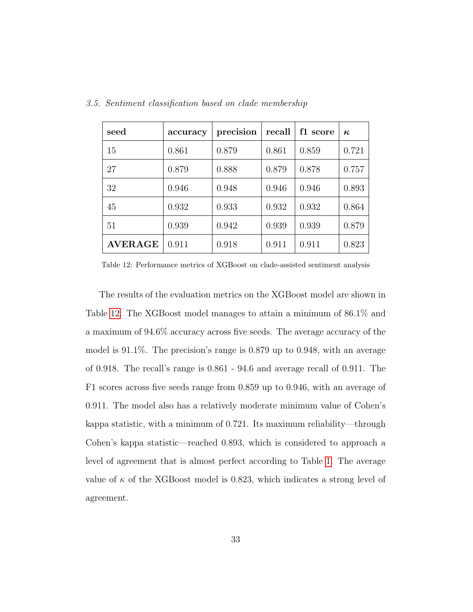| seed           | accuracy | precision | recall | f1 score | $\kappa$ |
|----------------|----------|-----------|--------|----------|----------|
| 15             | 0.861    | 0.879     | 0.861  | 0.859    | 0.721    |
| 27             | 0.879    | 0.888     | 0.879  | 0.878    | 0.757    |
| 32             | 0.946    | 0.948     | 0.946  | 0.946    | 0.893    |
| 45             | 0.932    | 0.933     | 0.932  | 0.932    | 0.864    |
| 51             | 0.939    | 0.942     | 0.939  | 0.939    | 0.879    |
| <b>AVERAGE</b> | 0.911    | 0.918     | 0.911  | 0.911    | 0.823    |

3.5. Sentiment classification based on clade membership

<span id="page-32-0"></span>Table 12: Performance metrics of XGBoost on clade-assisted sentiment analysis

The results of the evaluation metrics on the XGBoost model are shown in Table [12.](#page-32-0) The XGBoost model manages to attain a minimum of 86.1% and a maximum of 94.6% accuracy across five seeds. The average accuracy of the model is 91.1%. The precision's range is 0.879 up to 0.948, with an average of 0.918. The recall's range is 0.861 - 94.6 and average recall of 0.911. The F1 scores across five seeds range from 0.859 up to 0.946, with an average of 0.911. The model also has a relatively moderate minimum value of Cohen's kappa statistic, with a minimum of 0.721. Its maximum reliability—through Cohen's kappa statistic—reached 0.893, which is considered to approach a level of agreement that is almost perfect according to Table [1.](#page-10-1) The average value of  $\kappa$  of the XGBoost model is 0.823, which indicates a strong level of agreement.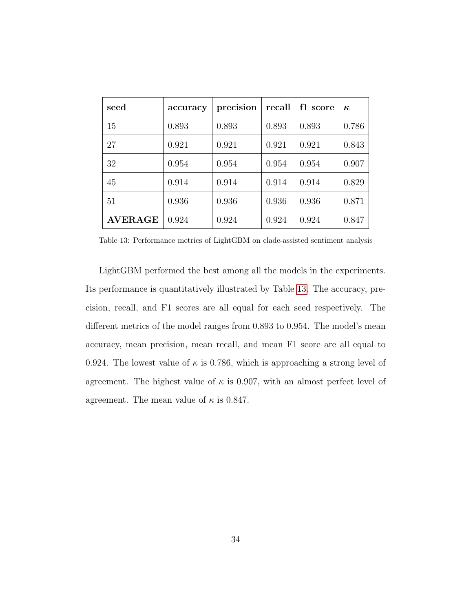| seed           | accuracy | precision | recall | f1 score | $\kappa$ |
|----------------|----------|-----------|--------|----------|----------|
| 15             | 0.893    | 0.893     | 0.893  | 0.893    | 0.786    |
| 27             | 0.921    | 0.921     | 0.921  | 0.921    | 0.843    |
| 32             | 0.954    | 0.954     | 0.954  | 0.954    | 0.907    |
| 45             | 0.914    | 0.914     | 0.914  | 0.914    | 0.829    |
| 51             | 0.936    | 0.936     | 0.936  | 0.936    | 0.871    |
| <b>AVERAGE</b> | 0.924    | 0.924     | 0.924  | 0.924    | 0.847    |

<span id="page-33-0"></span>Table 13: Performance metrics of LightGBM on clade-assisted sentiment analysis

LightGBM performed the best among all the models in the experiments. Its performance is quantitatively illustrated by Table [13.](#page-33-0) The accuracy, precision, recall, and F1 scores are all equal for each seed respectively. The different metrics of the model ranges from 0.893 to 0.954. The model's mean accuracy, mean precision, mean recall, and mean F1 score are all equal to 0.924. The lowest value of  $\kappa$  is 0.786, which is approaching a strong level of agreement. The highest value of  $\kappa$  is 0.907, with an almost perfect level of agreement. The mean value of  $\kappa$  is 0.847.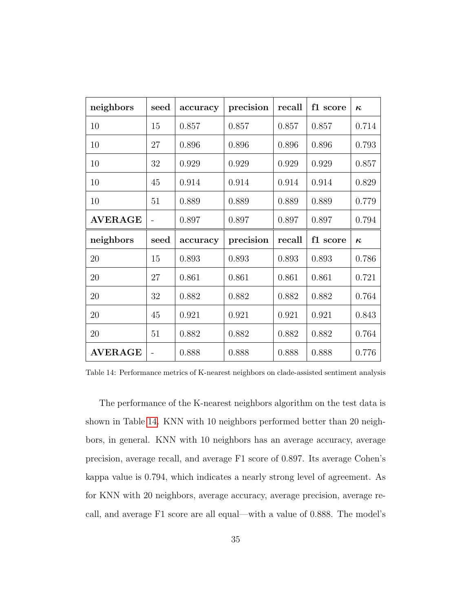| neighbors      | seed | accuracy | precision | recall | f1 score | $\kappa$ |
|----------------|------|----------|-----------|--------|----------|----------|
| 10             | 15   | 0.857    | 0.857     | 0.857  | 0.857    | 0.714    |
| 10             | 27   | 0.896    | 0.896     | 0.896  | 0.896    | 0.793    |
| 10             | 32   | 0.929    | 0.929     | 0.929  | 0.929    | 0.857    |
| 10             | 45   | 0.914    | 0.914     | 0.914  | 0.914    | 0.829    |
| 10             | 51   | 0.889    | 0.889     | 0.889  | 0.889    | 0.779    |
| <b>AVERAGE</b> |      | 0.897    | 0.897     | 0.897  | 0.897    | 0.794    |
|                |      |          |           |        |          |          |
| neighbors      | seed | accuracy | precision | recall | f1 score | $\kappa$ |
| 20             | 15   | 0.893    | 0.893     | 0.893  | 0.893    | 0.786    |
| 20             | 27   | 0.861    | 0.861     | 0.861  | 0.861    | 0.721    |
| 20             | 32   | 0.882    | 0.882     | 0.882  | 0.882    | 0.764    |
| 20             | 45   | 0.921    | 0.921     | 0.921  | 0.921    | 0.843    |
| 20             | 51   | 0.882    | 0.882     | 0.882  | 0.882    | 0.764    |

<span id="page-34-0"></span>Table 14: Performance metrics of K-nearest neighbors on clade-assisted sentiment analysis

The performance of the K-nearest neighbors algorithm on the test data is shown in Table [14.](#page-34-0) KNN with 10 neighbors performed better than 20 neighbors, in general. KNN with 10 neighbors has an average accuracy, average precision, average recall, and average F1 score of 0.897. Its average Cohen's kappa value is 0.794, which indicates a nearly strong level of agreement. As for KNN with 20 neighbors, average accuracy, average precision, average recall, and average F1 score are all equal—with a value of 0.888. The model's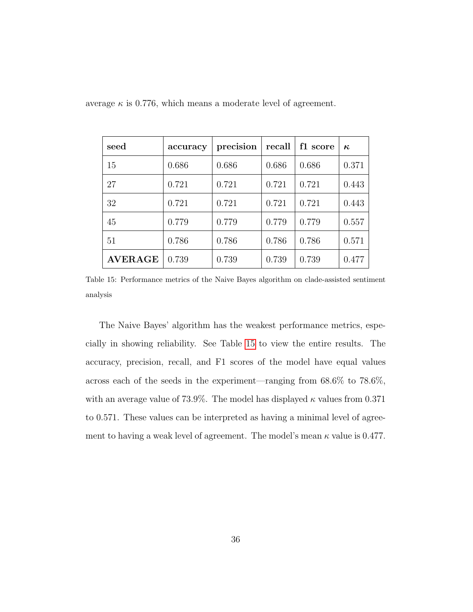| seed           | accuracy | precision | recall | f1 score | $\kappa$ |
|----------------|----------|-----------|--------|----------|----------|
| 15             | 0.686    | 0.686     | 0.686  | 0.686    | 0.371    |
| 27             | 0.721    | 0.721     | 0.721  | 0.721    | 0.443    |
| 32             | 0.721    | 0.721     | 0.721  | 0.721    | 0.443    |
| 45             | 0.779    | 0.779     | 0.779  | 0.779    | 0.557    |
| 51             | 0.786    | 0.786     | 0.786  | 0.786    | 0.571    |
| <b>AVERAGE</b> | 0.739    | 0.739     | 0.739  | 0.739    | 0.477    |

average  $\kappa$  is 0.776, which means a moderate level of agreement.

<span id="page-35-0"></span>Table 15: Performance metrics of the Naive Bayes algorithm on clade-assisted sentiment analysis

The Naive Bayes' algorithm has the weakest performance metrics, especially in showing reliability. See Table [15](#page-35-0) to view the entire results. The accuracy, precision, recall, and F1 scores of the model have equal values across each of the seeds in the experiment—ranging from 68.6% to 78.6%, with an average value of 73.9%. The model has displayed  $\kappa$  values from 0.371 to 0.571. These values can be interpreted as having a minimal level of agreement to having a weak level of agreement. The model's mean  $\kappa$  value is 0.477.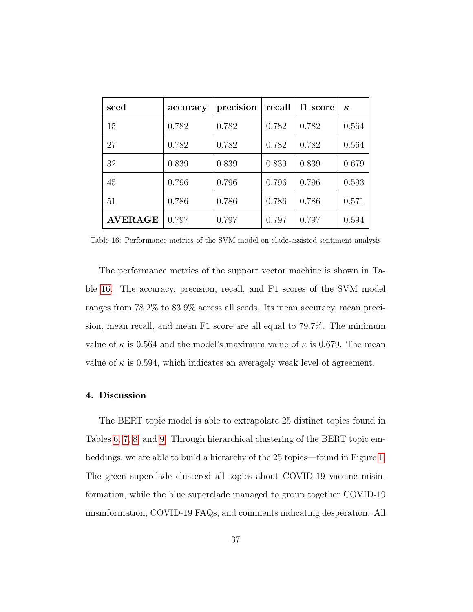| seed           | accuracy | precision | recall | f1 score | $\kappa$ |
|----------------|----------|-----------|--------|----------|----------|
| 15             | 0.782    | 0.782     | 0.782  | 0.782    | 0.564    |
| 27             | 0.782    | 0.782     | 0.782  | 0.782    | 0.564    |
| 32             | 0.839    | 0.839     | 0.839  | 0.839    | 0.679    |
| 45             | 0.796    | 0.796     | 0.796  | 0.796    | 0.593    |
| 51             | 0.786    | 0.786     | 0.786  | 0.786    | 0.571    |
| <b>AVERAGE</b> | 0.797    | 0.797     | 0.797  | 0.797    | 0.594    |

<span id="page-36-0"></span>Table 16: Performance metrics of the SVM model on clade-assisted sentiment analysis

The performance metrics of the support vector machine is shown in Table [16.](#page-36-0) The accuracy, precision, recall, and F1 scores of the SVM model ranges from 78.2% to 83.9% across all seeds. Its mean accuracy, mean precision, mean recall, and mean F1 score are all equal to 79.7%. The minimum value of  $\kappa$  is 0.564 and the model's maximum value of  $\kappa$  is 0.679. The mean value of  $\kappa$  is 0.594, which indicates an averagely weak level of agreement.

# 4. Discussion

The BERT topic model is able to extrapolate 25 distinct topics found in Tables [6,](#page-15-0) [7,](#page-17-0) [8,](#page-19-0) and [9.](#page-21-0) Through hierarchical clustering of the BERT topic embeddings, we are able to build a hierarchy of the 25 topics—found in Figure [1.](#page-24-0) The green superclade clustered all topics about COVID-19 vaccine misinformation, while the blue superclade managed to group together COVID-19 misinformation, COVID-19 FAQs, and comments indicating desperation. All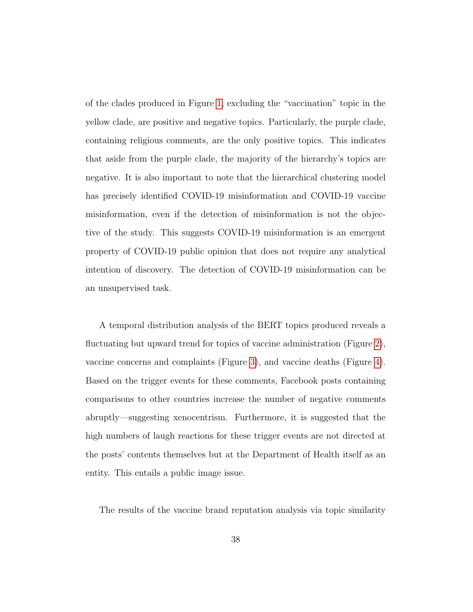of the clades produced in Figure [1,](#page-24-0) excluding the "vaccination" topic in the yellow clade, are positive and negative topics. Particularly, the purple clade, containing religious comments, are the only positive topics. This indicates that aside from the purple clade, the majority of the hierarchy's topics are negative. It is also important to note that the hierarchical clustering model has precisely identified COVID-19 misinformation and COVID-19 vaccine misinformation, even if the detection of misinformation is not the objective of the study. This suggests COVID-19 misinformation is an emergent property of COVID-19 public opinion that does not require any analytical intention of discovery. The detection of COVID-19 misinformation can be an unsupervised task.

A temporal distribution analysis of the BERT topics produced reveals a fluctuating but upward trend for topics of vaccine administration (Figure [2\)](#page-26-0), vaccine concerns and complaints (Figure [3\)](#page-28-0), and vaccine deaths (Figure [4\)](#page-29-0). Based on the trigger events for these comments, Facebook posts containing comparisons to other countries increase the number of negative comments abruptly—suggesting xenocentrism. Furthermore, it is suggested that the high numbers of laugh reactions for these trigger events are not directed at the posts' contents themselves but at the Department of Health itself as an entity. This entails a public image issue.

The results of the vaccine brand reputation analysis via topic similarity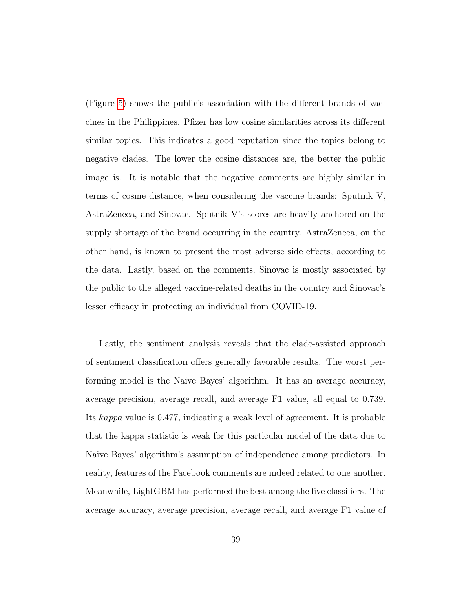(Figure [5\)](#page-30-0) shows the public's association with the different brands of vaccines in the Philippines. Pfizer has low cosine similarities across its different similar topics. This indicates a good reputation since the topics belong to negative clades. The lower the cosine distances are, the better the public image is. It is notable that the negative comments are highly similar in terms of cosine distance, when considering the vaccine brands: Sputnik V, AstraZeneca, and Sinovac. Sputnik V's scores are heavily anchored on the supply shortage of the brand occurring in the country. AstraZeneca, on the other hand, is known to present the most adverse side effects, according to the data. Lastly, based on the comments, Sinovac is mostly associated by the public to the alleged vaccine-related deaths in the country and Sinovac's lesser efficacy in protecting an individual from COVID-19.

Lastly, the sentiment analysis reveals that the clade-assisted approach of sentiment classification offers generally favorable results. The worst performing model is the Naive Bayes' algorithm. It has an average accuracy, average precision, average recall, and average F1 value, all equal to 0.739. Its kappa value is 0.477, indicating a weak level of agreement. It is probable that the kappa statistic is weak for this particular model of the data due to Naive Bayes' algorithm's assumption of independence among predictors. In reality, features of the Facebook comments are indeed related to one another. Meanwhile, LightGBM has performed the best among the five classifiers. The average accuracy, average precision, average recall, and average F1 value of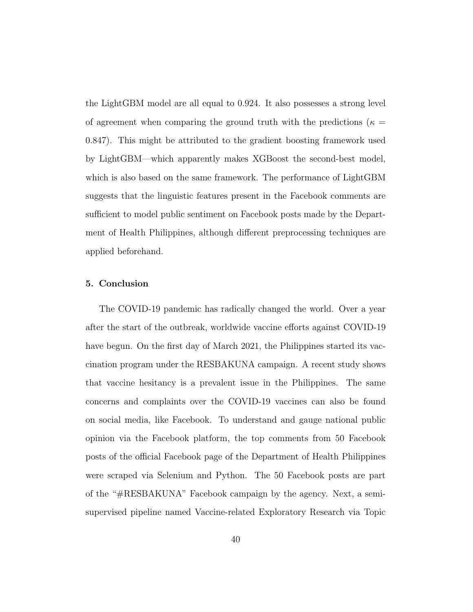the LightGBM model are all equal to 0.924. It also possesses a strong level of agreement when comparing the ground truth with the predictions ( $\kappa =$ 0.847). This might be attributed to the gradient boosting framework used by LightGBM—which apparently makes XGBoost the second-best model, which is also based on the same framework. The performance of LightGBM suggests that the linguistic features present in the Facebook comments are sufficient to model public sentiment on Facebook posts made by the Department of Health Philippines, although different preprocessing techniques are applied beforehand.

# 5. Conclusion

The COVID-19 pandemic has radically changed the world. Over a year after the start of the outbreak, worldwide vaccine efforts against COVID-19 have begun. On the first day of March 2021, the Philippines started its vaccination program under the RESBAKUNA campaign. A recent study shows that vaccine hesitancy is a prevalent issue in the Philippines. The same concerns and complaints over the COVID-19 vaccines can also be found on social media, like Facebook. To understand and gauge national public opinion via the Facebook platform, the top comments from 50 Facebook posts of the official Facebook page of the Department of Health Philippines were scraped via Selenium and Python. The 50 Facebook posts are part of the "#RESBAKUNA" Facebook campaign by the agency. Next, a semisupervised pipeline named Vaccine-related Exploratory Research via Topic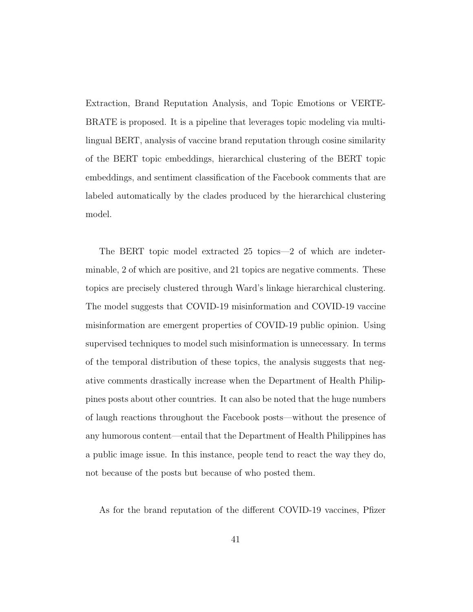Extraction, Brand Reputation Analysis, and Topic Emotions or VERTE-BRATE is proposed. It is a pipeline that leverages topic modeling via multilingual BERT, analysis of vaccine brand reputation through cosine similarity of the BERT topic embeddings, hierarchical clustering of the BERT topic embeddings, and sentiment classification of the Facebook comments that are labeled automatically by the clades produced by the hierarchical clustering model.

The BERT topic model extracted 25 topics—2 of which are indeterminable, 2 of which are positive, and 21 topics are negative comments. These topics are precisely clustered through Ward's linkage hierarchical clustering. The model suggests that COVID-19 misinformation and COVID-19 vaccine misinformation are emergent properties of COVID-19 public opinion. Using supervised techniques to model such misinformation is unnecessary. In terms of the temporal distribution of these topics, the analysis suggests that negative comments drastically increase when the Department of Health Philippines posts about other countries. It can also be noted that the huge numbers of laugh reactions throughout the Facebook posts—without the presence of any humorous content—entail that the Department of Health Philippines has a public image issue. In this instance, people tend to react the way they do, not because of the posts but because of who posted them.

As for the brand reputation of the different COVID-19 vaccines, Pfizer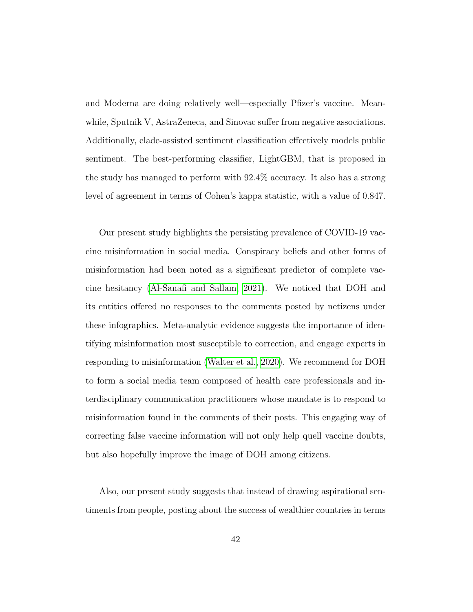and Moderna are doing relatively well—especially Pfizer's vaccine. Meanwhile, Sputnik V, AstraZeneca, and Sinovac suffer from negative associations. Additionally, clade-assisted sentiment classification effectively models public sentiment. The best-performing classifier, LightGBM, that is proposed in the study has managed to perform with 92.4% accuracy. It also has a strong level of agreement in terms of Cohen's kappa statistic, with a value of 0.847.

Our present study highlights the persisting prevalence of COVID-19 vaccine misinformation in social media. Conspiracy beliefs and other forms of misinformation had been noted as a significant predictor of complete vaccine hesitancy [\(Al-Sanafi and Sallam, 2021\)](#page-44-6). We noticed that DOH and its entities offered no responses to the comments posted by netizens under these infographics. Meta-analytic evidence suggests the importance of identifying misinformation most susceptible to correction, and engage experts in responding to misinformation [\(Walter et al., 2020\)](#page-45-0). We recommend for DOH to form a social media team composed of health care professionals and interdisciplinary communication practitioners whose mandate is to respond to misinformation found in the comments of their posts. This engaging way of correcting false vaccine information will not only help quell vaccine doubts, but also hopefully improve the image of DOH among citizens.

Also, our present study suggests that instead of drawing aspirational sentiments from people, posting about the success of wealthier countries in terms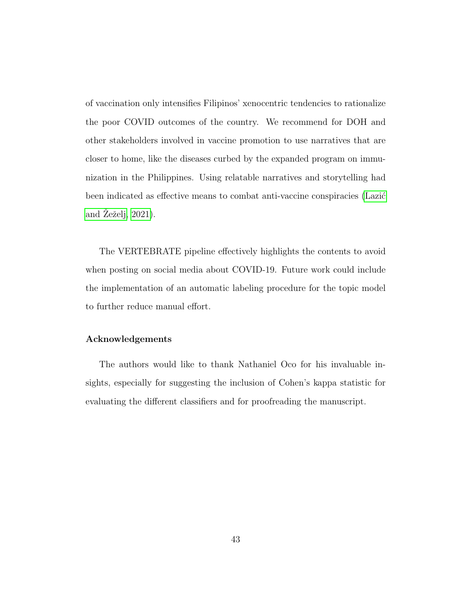of vaccination only intensifies Filipinos' xenocentric tendencies to rationalize the poor COVID outcomes of the country. We recommend for DOH and other stakeholders involved in vaccine promotion to use narratives that are closer to home, like the diseases curbed by the expanded program on immunization in the Philippines. Using relatable narratives and storytelling had been indicated as effective means to combat anti-vaccine conspiracies (Lazić and  $\overline{Z}$ eželj, 2021).

The VERTEBRATE pipeline effectively highlights the contents to avoid when posting on social media about COVID-19. Future work could include the implementation of an automatic labeling procedure for the topic model to further reduce manual effort.

# Acknowledgements

The authors would like to thank Nathaniel Oco for his invaluable insights, especially for suggesting the inclusion of Cohen's kappa statistic for evaluating the different classifiers and for proofreading the manuscript.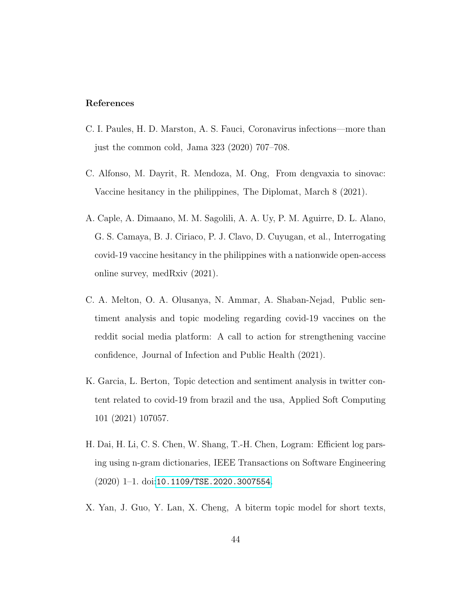# References

- <span id="page-43-0"></span>C. I. Paules, H. D. Marston, A. S. Fauci, Coronavirus infections—more than just the common cold, Jama 323 (2020) 707–708.
- <span id="page-43-1"></span>C. Alfonso, M. Dayrit, R. Mendoza, M. Ong, From dengvaxia to sinovac: Vaccine hesitancy in the philippines, The Diplomat, March 8 (2021).
- <span id="page-43-2"></span>A. Caple, A. Dimaano, M. M. Sagolili, A. A. Uy, P. M. Aguirre, D. L. Alano, G. S. Camaya, B. J. Ciriaco, P. J. Clavo, D. Cuyugan, et al., Interrogating covid-19 vaccine hesitancy in the philippines with a nationwide open-access online survey, medRxiv (2021).
- <span id="page-43-3"></span>C. A. Melton, O. A. Olusanya, N. Ammar, A. Shaban-Nejad, Public sentiment analysis and topic modeling regarding covid-19 vaccines on the reddit social media platform: A call to action for strengthening vaccine confidence, Journal of Infection and Public Health (2021).
- <span id="page-43-4"></span>K. Garcia, L. Berton, Topic detection and sentiment analysis in twitter content related to covid-19 from brazil and the usa, Applied Soft Computing 101 (2021) 107057.
- <span id="page-43-5"></span>H. Dai, H. Li, C. S. Chen, W. Shang, T.-H. Chen, Logram: Efficient log parsing using n-gram dictionaries, IEEE Transactions on Software Engineering  $(2020)$  1–1. doi:[10.1109/TSE.2020.3007554](http://dx.doi.org/10.1109/TSE.2020.3007554).
- <span id="page-43-6"></span>X. Yan, J. Guo, Y. Lan, X. Cheng, A biterm topic model for short texts,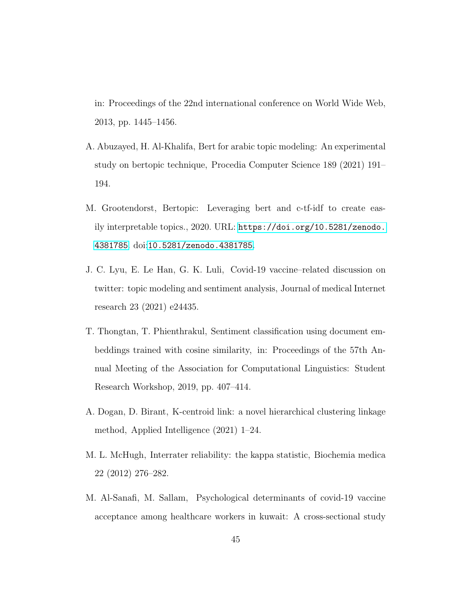in: Proceedings of the 22nd international conference on World Wide Web, 2013, pp. 1445–1456.

- <span id="page-44-0"></span>A. Abuzayed, H. Al-Khalifa, Bert for arabic topic modeling: An experimental study on bertopic technique, Procedia Computer Science 189 (2021) 191– 194.
- <span id="page-44-1"></span>M. Grootendorst, Bertopic: Leveraging bert and c-tf-idf to create easily interpretable topics., 2020. URL: [https://doi.org/10.5281/zenodo.](https://doi.org/10.5281/zenodo.4381785) [4381785](https://doi.org/10.5281/zenodo.4381785). doi:[10.5281/zenodo.4381785](http://dx.doi.org/10.5281/zenodo.4381785).
- <span id="page-44-2"></span>J. C. Lyu, E. Le Han, G. K. Luli, Covid-19 vaccine–related discussion on twitter: topic modeling and sentiment analysis, Journal of medical Internet research 23 (2021) e24435.
- <span id="page-44-3"></span>T. Thongtan, T. Phienthrakul, Sentiment classification using document embeddings trained with cosine similarity, in: Proceedings of the 57th Annual Meeting of the Association for Computational Linguistics: Student Research Workshop, 2019, pp. 407–414.
- <span id="page-44-4"></span>A. Dogan, D. Birant, K-centroid link: a novel hierarchical clustering linkage method, Applied Intelligence (2021) 1–24.
- <span id="page-44-5"></span>M. L. McHugh, Interrater reliability: the kappa statistic, Biochemia medica 22 (2012) 276–282.
- <span id="page-44-6"></span>M. Al-Sanafi, M. Sallam, Psychological determinants of covid-19 vaccine acceptance among healthcare workers in kuwait: A cross-sectional study